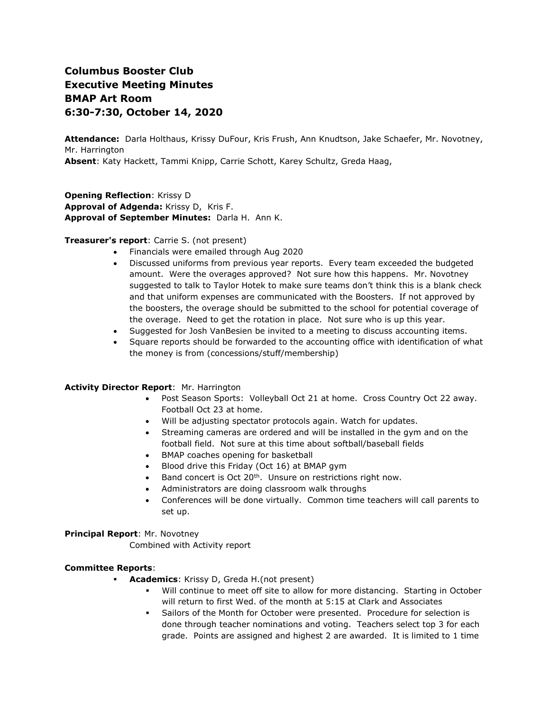# **Columbus Booster Club Executive Meeting Minutes BMAP Art Room 6:30-7:30, October 14, 2020**

**Attendance:** Darla Holthaus, Krissy DuFour, Kris Frush, Ann Knudtson, Jake Schaefer, Mr. Novotney, Mr. Harrington **Absent**: Katy Hackett, Tammi Knipp, Carrie Schott, Karey Schultz, Greda Haag,

**Opening Reflection**: Krissy D **Approval of Adgenda:** Krissy D, Kris F. **Approval of September Minutes:** Darla H. Ann K.

# **Treasurer's report**: Carrie S. (not present)

- Financials were emailed through Aug 2020
- Discussed uniforms from previous year reports. Every team exceeded the budgeted amount. Were the overages approved? Not sure how this happens. Mr. Novotney suggested to talk to Taylor Hotek to make sure teams don't think this is a blank check and that uniform expenses are communicated with the Boosters. If not approved by the boosters, the overage should be submitted to the school for potential coverage of the overage. Need to get the rotation in place. Not sure who is up this year.
- Suggested for Josh VanBesien be invited to a meeting to discuss accounting items.
- Square reports should be forwarded to the accounting office with identification of what the money is from (concessions/stuff/membership)

# **Activity Director Report**: Mr. Harrington

- Post Season Sports: Volleyball Oct 21 at home. Cross Country Oct 22 away. Football Oct 23 at home.
- Will be adjusting spectator protocols again. Watch for updates.
- Streaming cameras are ordered and will be installed in the gym and on the football field. Not sure at this time about softball/baseball fields
- BMAP coaches opening for basketball
- Blood drive this Friday (Oct 16) at BMAP gym
- Band concert is Oct 20<sup>th</sup>. Unsure on restrictions right now.
- Administrators are doing classroom walk throughs
- Conferences will be done virtually. Common time teachers will call parents to set up.

**Principal Report**: Mr. Novotney

Combined with Activity report

# **Committee Reports**:

- **Academics**: Krissy D, Greda H.(not present)
	- Will continue to meet off site to allow for more distancing. Starting in October will return to first Wed. of the month at 5:15 at Clark and Associates
	- Sailors of the Month for October were presented. Procedure for selection is done through teacher nominations and voting. Teachers select top 3 for each grade. Points are assigned and highest 2 are awarded. It is limited to 1 time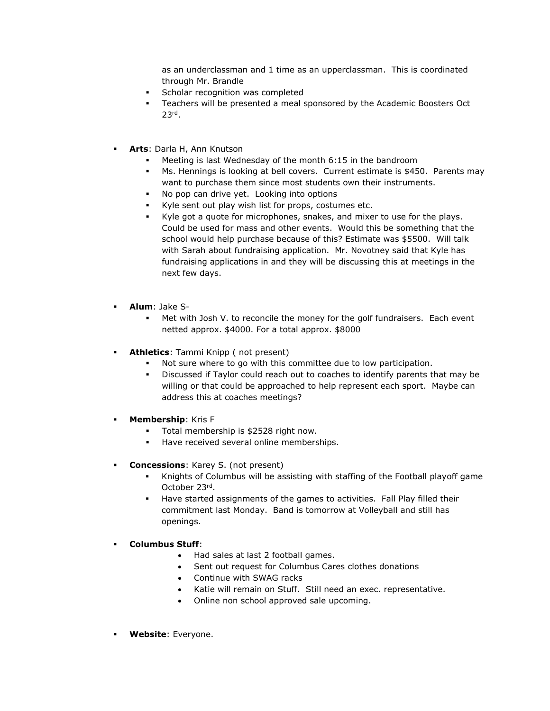as an underclassman and 1 time as an upperclassman. This is coordinated through Mr. Brandle

- Scholar recognition was completed
- **EXEC** Teachers will be presented a meal sponsored by the Academic Boosters Oct 23rd .
- **Arts**: Darla H, Ann Knutson
	- Meeting is last Wednesday of the month 6:15 in the bandroom
	- Ms. Hennings is looking at bell covers. Current estimate is \$450. Parents may want to purchase them since most students own their instruments.
	- No pop can drive yet. Looking into options
	- Kyle sent out play wish list for props, costumes etc.
	- Kyle got a quote for microphones, snakes, and mixer to use for the plays. Could be used for mass and other events. Would this be something that the school would help purchase because of this? Estimate was \$5500. Will talk with Sarah about fundraising application. Mr. Novotney said that Kyle has fundraising applications in and they will be discussing this at meetings in the next few days.
- **Alum**: Jake S-
	- Met with Josh V. to reconcile the money for the golf fundraisers. Each event netted approx. \$4000. For a total approx. \$8000
- **Athletics**: Tammi Knipp ( not present)
	- Not sure where to go with this committee due to low participation.
	- Discussed if Taylor could reach out to coaches to identify parents that may be willing or that could be approached to help represent each sport. Maybe can address this at coaches meetings?
- **Membership: Kris F** 
	- Total membership is \$2528 right now.
	- Have received several online memberships.
- **Concessions**: Karey S. (not present)
	- Knights of Columbus will be assisting with staffing of the Football playoff game October 23rd .
	- Have started assignments of the games to activities. Fall Play filled their commitment last Monday. Band is tomorrow at Volleyball and still has openings.
- **Columbus Stuff**:
	- Had sales at last 2 football games.
	- Sent out request for Columbus Cares clothes donations
	- Continue with SWAG racks
	- Katie will remain on Stuff. Still need an exec. representative.
	- Online non school approved sale upcoming.
- **Website**: Everyone.